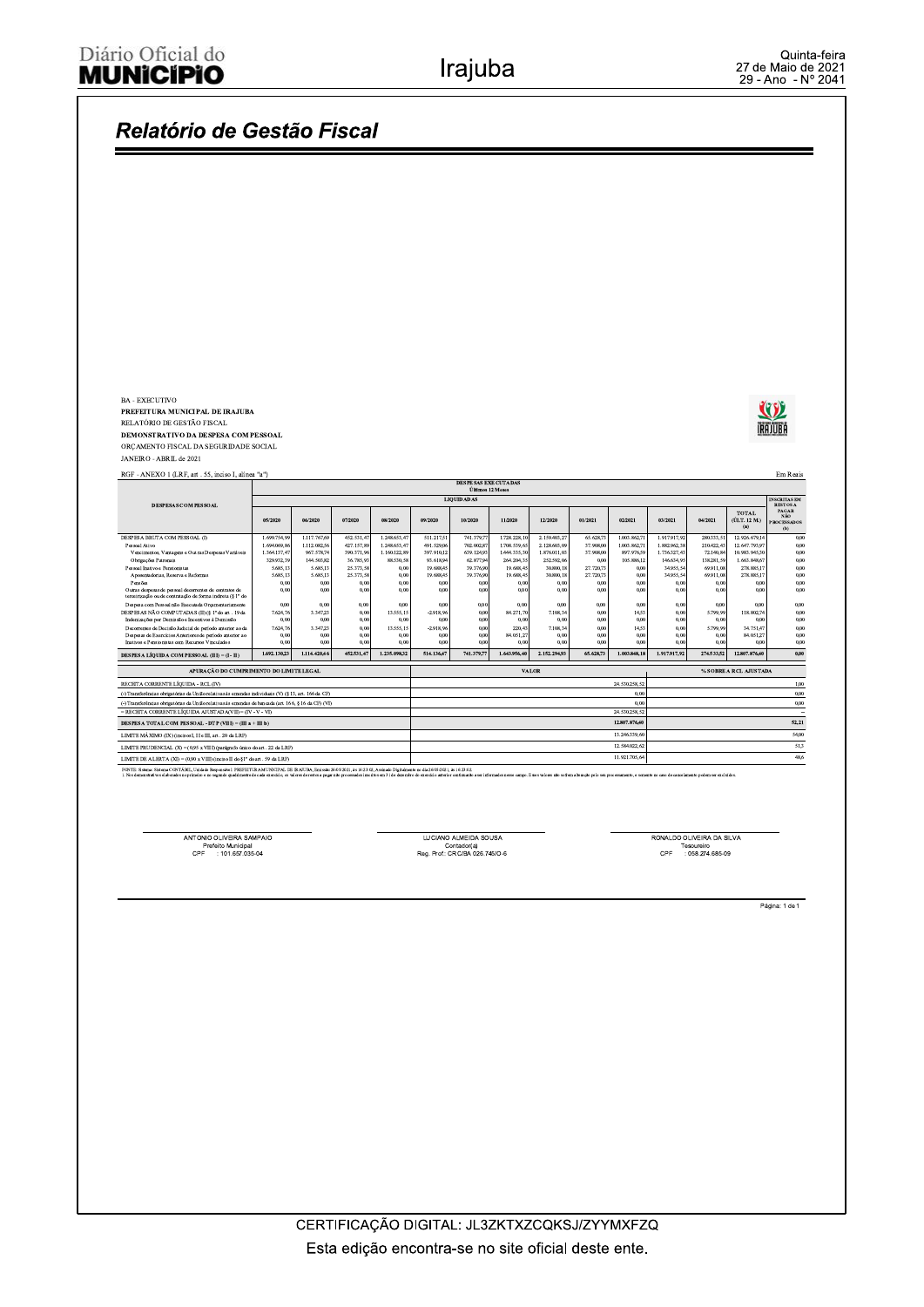#### Relatório de Gestão Fiscal BA - EXECUTIVO Q PREFEITURA MUNICIPAL DE IRAJUBA RELATÓRIO DE GESTÃO FISCAL **IRAJUBA** DEMONSTRATIVO DA DESPESA COM PESSOAL ORÇAMENTO FISCAL DA SEGURIDADE SOCIAL JANEIRO - ABRIL de 2021 RGF - ANEXO 1 (LRF, art . 55, inciso I, alínea "a")  ${\rm Em}$ Reais **DESPESAS EXECUTADAS**<br>Últimos 12 Meses LIQUIDADAS DESPESAS COM PESSOAL PAGAR<br>NÃO TOTAL<br>(ÚLT. 12 M.)  $06/2020$  $08/202$  $09/2020$ 10/2020  $11/202$  $12/202$  $02/2021$  $03/202$  $04/2021$ 05/2020  $07/202$  $01/2021$ DESPESA BRUTA COM PESSOAL (I) 2.159.40 12.926.67<br>12.647.79 ESPESA Br<br/>to  $1111111$  =  $-$  Pessoal Ativo Vencimentos, Vantagens e Out<br/> ras De  $^{24}$  sinualization Patronais  $1.112.0$ 427.1  $1.248.65$ 491.52 702.0<br>639.1<br>62.3  $2.128.$  $.003.86$ .882.9  $\begin{array}{c} 0{,}00 \\ 0{,}00 \\ 0{,}00 \\ 0{,}00 \\ 0{,}00 \\ 0{,}00 \\ 0{,}00 \\ 0{,}00 \\ 0{,}00 \end{array}$  $\frac{96}{144}$ oal Inativo e Pensionistas<br>posentadorias, Reserva e Re  $\frac{25.37}{25.37}$ 19.68  $\frac{39}{39}$ 30.80  $27.720, 27.720,$ 34.95<br>34.95 278.885,<br>278.885, ento<br>Separa de pessoal decorrentes de contratos de mais despesas de pessoal decorrentes<br>de ou de contratação de contratação de forma indicira<br>(q. 1 $^{\circ}$  de outer despesa com Pessoal na<br>la Excendada Orçamentariamente<br>de SE  $^{0,0}_{0,0}$  $0,0$  $\frac{0}{0}$  $\begin{array}{c} 0{,}00 \\ 0{,}00 \\ 0{,}00 \\ 0{,}00 \\ 0{,}00 \\ 0{,}00 \\ 0{,}00 \\ 0{,}00 \\ 0{,}00 \\ 0{,}00 \\ 0{,}00 \\ 0{,}00 \\ 0{,}00 \\ 0{,}00 \\ 0{,}00 \\ 0{,}00 \\ 0{,}00 \\ 0{,}00 \\ 0{,}00 \\ 0{,}00 \\ 0{,}00 \\ 0{,}00 \\ 0{,}00 \\ 0{,}00 \\ 0{,}00 \\ 0{,}00 \\ 0{,}$  $0,0$ <br>0,0<br>0,0<br>0,0<br>0,0  $\frac{14}{0}$ 13.55  $-2.91$  $\begin{array}{c} 0,0 \\ 0,0 \\ 0,0 \\ 0,0 \\ 0.0 \end{array}$ 13.555,1<br>0,0<br>13.555,1  $7,624,7$ <br>0,6<br>0,6<br>0,6  $-2.918$  $14,$  $0,00$ 514.136,4 **DESPESA LÍQUIDA COM PESSOAL (III) = (I - II)**  $1.692.130,23$  $1.114.420,$ 152.531,4 741.379,7 65.628,7 1.003.848,18 1.917.917,9 12.807.876 APURAÇÃO DO CUMPRIMENTO DO LIMITE LEGA % SOBRE A RCL AJUSTAD **VALO** RECEITA CORRENTE LÍQUIDA - RCL (IV) 24.530.258,  $1,00$ (-) Transferências obrigatórias da União relativas às emendas individuais (V) (§ 13, art. 166 da CF  $0.01$  $^{0,00}$  $\overline{(\cdot)$  Tra .<br>Transferências obrigatórias da União relativas às emendas de bancada (art. 166, § 16 da CF) (VI)<br>RECEITA CORRENTE LÍQUIDA AJUSTADA(VII) = (IV - V - VI)  $0,00$ DESPESA TOTAL COM PESSOAL - DTP (VIII) = (III a + III b) 12.807.876,40  $52,21$ LIMITE MÁXIMO (IX) (incisos I, II e III, art . 20 da LRF) 13.246.339, \$4,00  $rac{51,3}{48,6}$ LIMITE PRUDENCIAL $(\mathbf{X})$  = (0,95 x VIII) (parágrafo único do art . 22 da LRF) 12.584.022.62 11.921.705,6 LIMITE DE ALERTA (XI) = (0,90 x VIII) (in iso II do §1° do art . 59 da LRF) FONTE: Sistema: Sistema CONTÁBIL, Unidade Responsável: PREFEITURA MUNICIPAL DE IRAJUBA, Emissão:26/05/20

ANTONIO OLIVEIRA SAMPAIO Prefeito Municipal<br>CPF : 101.657.035-04

LUCIANO ALMEIDA SOUSA Contador(a)<br>Reg. Prof.: CRC/BA 026.745/O-6 RONALDO OLIVEIRA DA SILVA Tesoureiro<br>: 058.274.685-09  $\mathsf{CPF}$ 

Página: 1 de 1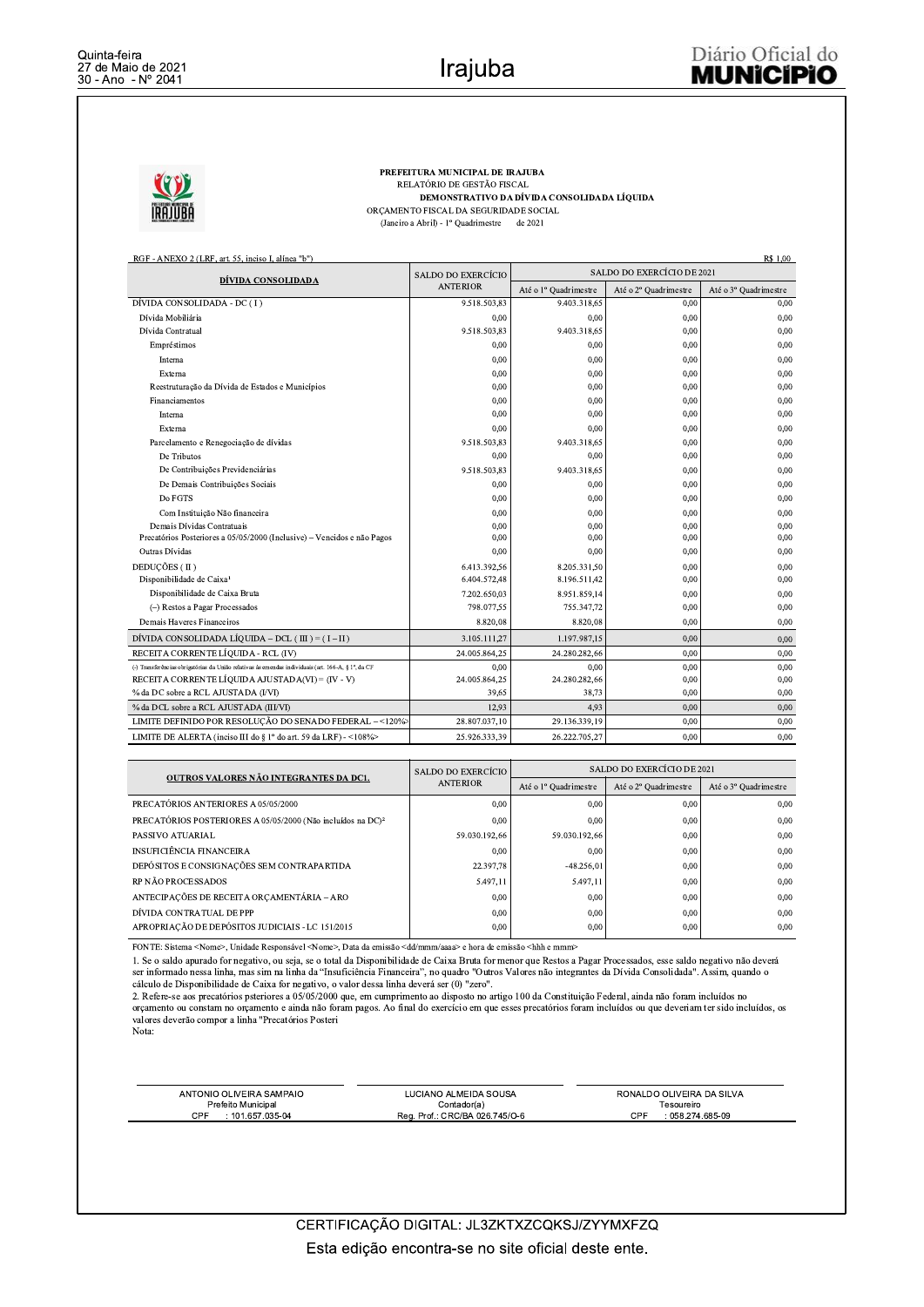R\$ 1.00



PREFEITURA MUNICIPAL DE IRAJUBA RELATÓRIO DE GESTÃO FISCAL DEMONSTRATIVO DA DÍVIDA CONSOLIDADA LÍQUIDA ORÇAMENTO FISCAL DA SEGURIDADE SOCIAL (Janeiro a Abril) - 1º Quadrimestre de 2021

RGF - ANEXO 2 (LRF, art. 55, inciso I, alínea "b")

| DÍVIDA CONSOLIDADA                                                                                 | SALDO DO EXERCÍCIO | SALDO DO EXERCÍCIO DE 2021 |                       |                       |  |
|----------------------------------------------------------------------------------------------------|--------------------|----------------------------|-----------------------|-----------------------|--|
|                                                                                                    | <b>ANTERIOR</b>    | Até o 1º Quadrimestre      | Até o 2º Quadrimestre | Até o 3º Quadrimestre |  |
| DÍVIDA CONSOLIDADA - DC (I)                                                                        | 9.518.503,83       | 9.403.318,65               | 0,00                  | 0.00                  |  |
| Dívida Mobiliária                                                                                  | 0.00               | 0,00                       | 0,00                  | 0,00                  |  |
| Dívida Contratual                                                                                  | 9.518.503,83       | 9.403.318,65               | 0,00                  | 0,00                  |  |
| Empréstimos                                                                                        | 0.00               | 0.00                       | 0.00                  | 0.00                  |  |
| Interna                                                                                            | 0.00               | 0.00                       | 0.00                  | 0.00                  |  |
| Externa                                                                                            | 0.00               | 0.00                       | 0.00                  | 0.00                  |  |
| Reestruturação da Dívida de Estados e Municípios                                                   | 0,00               | 0,00                       | 0,00                  | 0,00                  |  |
| Financiamentos                                                                                     | 0.00               | 0,00                       | 0,00                  | 0,00                  |  |
| Interna                                                                                            | 0.00               | 0,00                       | 0,00                  | 0.00                  |  |
| Externa                                                                                            | 0,00               | 0,00                       | 0,00                  | 0.00                  |  |
| Parcelamento e Renegociação de dívidas                                                             | 9.518.503,83       | 9.403.318,65               | 0,00                  | 0,00                  |  |
| De Tributos                                                                                        | 0.00               | 0,00                       | 0.00                  | 0.00                  |  |
| De Contribuições Previdenciárias                                                                   | 9.518.503,83       | 9.403.318,65               | 0,00                  | 0,00                  |  |
| De Demais Contribuições Sociais                                                                    | 0.00               | 0,00                       | 0,00                  | 0,00                  |  |
| Do FGTS                                                                                            | 0,00               | 0,00                       | 0,00                  | 0,00                  |  |
| Com Instituição Não financeira                                                                     | 0.00               | 0,00                       | 0,00                  | 0,00                  |  |
| Demais Dívidas Contratuais                                                                         | 0.00               | 0,00                       | 0.00                  | 0.00                  |  |
| Precatórios Posteriores a 05/05/2000 (Inclusive) - Vencidos e não Pagos                            | 0,00               | 0,00                       | 0,00                  | 0,00                  |  |
| Outras Dívidas                                                                                     | 0.00               | 0,00                       | 0,00                  | 0.00                  |  |
| DEDUCÕES (II)                                                                                      | 6.413.392,56       | 8.205.331.50               | 0.00                  | 0.00                  |  |
| Disponibilidade de Caixa <sup>1</sup>                                                              | 6.404.572,48       | 8.196.511,42               | 0,00                  | 0.00                  |  |
| Disponibilidade de Caixa Bruta                                                                     | 7.202.650,03       | 8.951.859.14               | 0.00                  | 0.00                  |  |
| (-) Restos a Pagar Processados                                                                     | 798.077.55         | 755.347,72                 | 0,00                  | 0.00                  |  |
| Demais Haveres Financeiros                                                                         | 8.820.08           | 8.820,08                   | 0.00                  | 0.00                  |  |
| DÍVIDA CONSOLIDADA LÍQUIDA – DCL ( III ) = $(I - II)$                                              | 3.105.111,27       | 1.197.987.15               | 0.00                  | 0,00                  |  |
| RECEITA CORRENTE LÍOUIDA - RCL (IV)                                                                | 24.005.864,25      | 24.280.282,66              | 0.00                  | 0.00                  |  |
| (-) Transferências obrigatórias da União relativas às emendas individuais (art. 166-A, § 1°, da CF | 0.00               | 0.00                       | 0.00                  | 0.00                  |  |
| RECEITA CORRENTE LÍQUIDA AJUSTADA(VI) = $(IV - V)$                                                 | 24.005.864,25      | 24.280.282,66              | 0,00                  | 0,00                  |  |
| % da DC sobre a RCL AJUSTADA (I/VI)                                                                | 39.65              | 38.73                      | 0.00                  | 0.00                  |  |
| % da DCL sobre a RCL AJUSTADA (III/VI)                                                             | 12.93              | 4,93                       | 0.00                  | 0.00                  |  |
| LIMITE DEFINIDO POR RESOLUÇÃO DO SENADO FEDERAL - <120%>                                           | 28.807.037,10      | 29.136.339.19              | 0.00                  | 0.00                  |  |
| LIMITE DE ALERTA (inciso III do § 1° do art. 59 da LRF) - <108%>                                   | 25.926.333.39      | 26.222.705,27              | 0.00                  | 0.00                  |  |

| OUTROS VALORES NÃO INTEGRANTES DA DC1.                                  | SALDO DO EXERCÍCIO | SALDO DO EXERCÍCIO DE 2021 |                       |                       |  |
|-------------------------------------------------------------------------|--------------------|----------------------------|-----------------------|-----------------------|--|
|                                                                         | <b>ANTERIOR</b>    | Até o 1º Quadrimestre      | Até o 2º Quadrimestre | Até o 3º Quadrimestre |  |
| PRECATÓRIOS ANTERIORES A 05/05/2000                                     | 0,00               | 0,00                       | 0,00                  | 0.00                  |  |
| PRECATÓRIOS POSTERIORES A 05/05/2000 (Não incluídos na DC) <sup>2</sup> | 0.00               | 0,00                       | 0,00                  | 0.00                  |  |
| PASSIVO ATUARIAL                                                        | 59.030.192.66      | 59.030.192.66              | 0.00                  | 0.00                  |  |
| INSUFICIÊNCIA FINANCEIRA                                                | 0,00               | 0,00                       | 0,00                  | 0,00                  |  |
| DEPÓSITOS E CONSIGNAÇÕES SEM CONTRAPARTIDA                              | 22.397,78          | $-48.256.01$               | 0.00                  | 0.00                  |  |
| <b>RP NÃO PROCESSADOS</b>                                               | 5.497.11           | 5.497.11                   | 0.00                  | 0.00                  |  |
| ANTECIPAÇÕES DE RECEITA ORÇAMENTÁRIA - ARO                              | 0.00               | 0,00                       | 0,00                  | 0.00                  |  |
| DÍVIDA CONTRATUAL DE PPP                                                | 0.00               | 0,00                       | 0,00                  | 0.00                  |  |
| APROPRIAÇÃO DE DEPÓSITOS JUDICIAIS - LC 151/2015                        | 0.00               | 0,00                       | 0,00                  | 0.00                  |  |

FONTE: Sistema <Nome>, Unidade Responsável <Nome>, Data da emissão <dd/mmm/aaaa> e hora de emissão <hhh e mmm>

1. Ne o saldo apurado for negativo, ou seja, se o total da Disponibilidade de Caixa Bruta for menor que Restos a Pagar Processados, esse saldo negativo não deverá<br>Ser informado nessa linha, mas sim na linha da "Insuficiênc cálculo de Disponibilidade de Caixa for negativo, o valor dessa linha deverá ser (0) "zero".

e aveva de cando por a agreerador e cando posteriores a 05/05/2000 que, em cumprimento ao disposto no artigo 100 da Constituição Federal, ainda não foram incluídos no orçamento ou constam no orçamento e ainda não foram pag valores deverão compor a linha "Precatórios Posteri

Nota:

| ANTONIO OLIVEIRA SAMPAIO | LUCIANO ALMEIDA SOUSA          | RONALDO OLIVEIRA DA SILVA |
|--------------------------|--------------------------------|---------------------------|
| Prefeito Municipal       | Contador(a)                    | Tesoureiro                |
| CPF<br>101 657 035-04    | Reg. Prof.: CRC/BA 026.745/O-6 | ים<br>$: 058.274.685-09$  |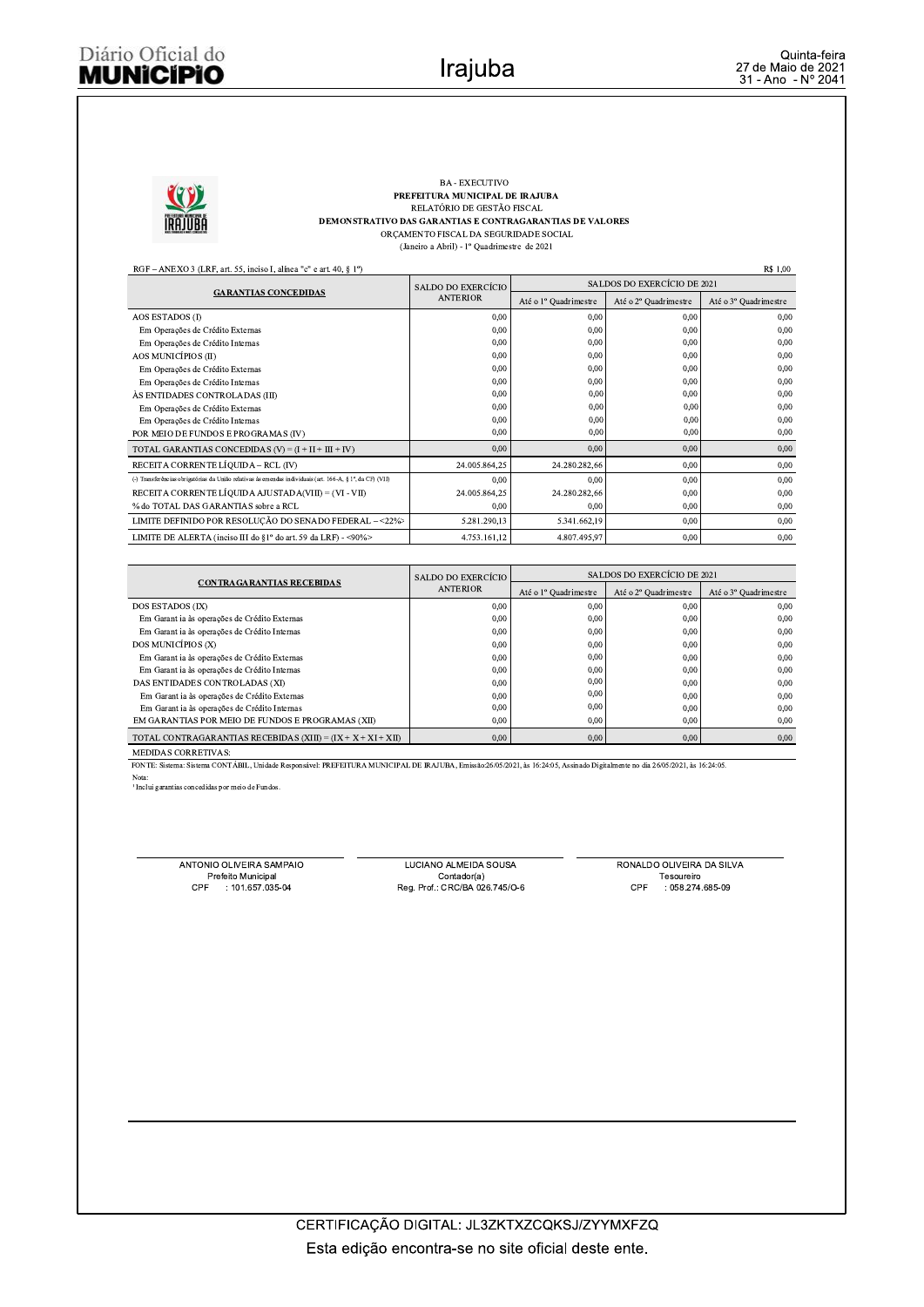# Diário Oficial do **MUNICIPIO**



### BA - EXECUTIVO PREFEITURA MUNICIPAL DE IRAJUBA RELATÓRIO DE GESTÃO FISCAL DEMONSTRATIVO DAS GARANTIAS E CONTRAGARANTIAS DE VALORES ORÇAMENTO FISCAL DA SEGURIDADE SOCIAL

(Janeiro a Abril) -  $1^{\rm o}$ Quadrimestre $% \left( \beta \right)$ de 2021

| <b>R\$ 1.00</b><br>RGF – ANEXO 3 (LRF, art. 55, inciso I, alinea "c" e art. 40, $\S$ 1°)                  |                    |                             |                       |                       |  |  |  |
|-----------------------------------------------------------------------------------------------------------|--------------------|-----------------------------|-----------------------|-----------------------|--|--|--|
|                                                                                                           | SALDO DO EXERCÍCIO | SALDOS DO EXERCÍCIO DE 2021 |                       |                       |  |  |  |
| <b>GARANTIAS CONCEDIDAS</b>                                                                               | <b>ANTERIOR</b>    | Até o 1º Quadrimestre       | Até o 2º Quadrimestre | Até o 3º Quadrimestre |  |  |  |
| <b>AOS ESTADOS (I)</b>                                                                                    | 0,00               | 0,00                        | 0,00                  | 0.00                  |  |  |  |
| Em Operações de Crédito Externas                                                                          | 0,00               | 0,00                        | 0,00                  | 0.00                  |  |  |  |
| Em Operações de Crédito Internas                                                                          | 0.00               | 0,00                        | 0,00                  | 0.00                  |  |  |  |
| AOS MUNICÍPIOS (II)                                                                                       | 0,00               | 0,00                        | 0,00                  | 0.00                  |  |  |  |
| Em Operações de Crédito Externas                                                                          | 0,00               | 0,00                        | 0,00                  | 0,00                  |  |  |  |
| Em Operações de Crédito Internas                                                                          | 0,00               | 0,00                        | 0,00                  | 0.00                  |  |  |  |
| ÀS ENTIDADES CONTROLADAS (III)                                                                            | 0,00               | 0,00                        | 0,00                  | 0.00                  |  |  |  |
| Em Operações de Crédito Externas                                                                          | 0.00               | 0,00                        | 0,00                  | 0.00                  |  |  |  |
| Em Operações de Crédito Internas                                                                          | 0,00               | 0.00                        | 0,00                  | 0.00                  |  |  |  |
| POR MEIO DE FUNDOS E PROGRAMAS (IV)                                                                       | 0,00               | 0,00                        | 0,00                  | 0,00                  |  |  |  |
| TOTAL GARANTIAS CONCEDIDAS $(V) = (I + II + III + IV)$                                                    | 0.00               | 0,00                        | 0,00                  | 0.00                  |  |  |  |
| RECEITA CORRENTE LÍOUIDA - RCL (IV)                                                                       | 24.005.864.25      | 24.280.282,66               | 0.00                  | 0,00                  |  |  |  |
| (-) Transferências obrigatórias da União relativas às emendas individuais (art. 166-A, § 1°, da CF) (VII) | 0,00               | 0,00                        | 0,00                  | 0,00                  |  |  |  |
| RECEITA CORRENTE LÍQUIDA AJUSTADA(VIII) = (VI - VII)                                                      | 24.005.864.25      | 24.280.282,66               | 0.00                  | 0.00                  |  |  |  |
| % do TOTAL DAS GARANTIAS sobre a RCL                                                                      | 0,00               | 0,00                        | 0,00                  | 0,00                  |  |  |  |
| LIMITE DEFINIDO POR RESOLUÇÃO DO SENADO FEDERAL - <22%>                                                   | 5.281.290,13       | 5.341.662,19                | 0.00                  | 0,00                  |  |  |  |
| LIMITE DE ALERTA (inciso III do §1° do art. 59 da LRF) - <90%>                                            | 4.753.161,12       | 4.807.495.97                | 0.00                  | 0,00                  |  |  |  |

|                                                                | SALDO DO EXERCÍCIO | SALDOS DO EXERCÍCIO DE 2021 |                       |                                   |  |
|----------------------------------------------------------------|--------------------|-----------------------------|-----------------------|-----------------------------------|--|
| <b>CONTRAGARANTIAS RECEBIDAS</b>                               | <b>ANTERIOR</b>    | Até o 1º Quadrimestre       | Até o 2º Quadrimestre | Até o 3 <sup>°</sup> Quadrimestre |  |
| <b>DOS ESTADOS (IX)</b>                                        | 0.00               | 0,00                        | 0.00                  | 0.00                              |  |
| Em Garant ia às operações de Crédito Externas                  | 0.00               | 0,00                        | 0,00                  | 0.00                              |  |
| Em Garant ia às operações de Crédito Internas                  | 0.00               | 0.00                        | 0.00                  | 0.00                              |  |
| DOS MUNICÍPIOS (X)                                             | 0,00               | 0.00                        | 0.00                  | 0.00                              |  |
| Em Garant ia às operações de Crédito Externas                  | 0.00               | 0,00                        | 0.00                  | 0.00                              |  |
| Em Garant ia às operações de Crédito Internas                  | 0.00               | 0,00                        | 0,00                  | 0.00                              |  |
| DAS ENTIDADES CONTROLADAS (XI)                                 | 0.00               | 0,00                        | 0.00                  | 0.00                              |  |
| Em Garant ia às operações de Crédito Externas                  | 0.00               | 0,00                        | 0.00                  | 0.00                              |  |
| Em Garant ia às operações de Crédito Internas                  | 0.00               | 0,00                        | 0.00                  | 0.00                              |  |
| EM GARANTIAS POR MEIO DE FUNDOS E PROGRAMAS (XII)              | 0.00               | 0,00                        | 0,00                  | 0,00                              |  |
| TOTAL CONTRAGARANTIAS RECEBIDAS (XIII) = $(IX + X + XI + XII)$ | 0.00               | 0,00                        | 0,00                  | 0,00                              |  |
|                                                                |                    |                             |                       |                                   |  |

MEDIDAS CORRETIVAS:

FONTE: Sistema: Sistema CONTÁBIL, Unidade Responsável: PREFEITURA MUNICIPAL DE IRAJUBA, Emissão:26/05/2021, às 16:24:05, Assinado Digitalmente no dia 26/05/2021, às 16:24:05.

Nota:<br><sup>1</sup> Inclui garantias concedidas por meio de Fundos.

ANTONIO OLIVEIRA SAMPAIO NTONIO OLIVEIRA SAM<br>Prefeito Municipal<br>CPF : 101.657.035  $: 101.657.035-04$ 

LUCIANO ALMEIDA SOUSA Contador(a) Reg. Prof.: CRC/BA 026.745/O-6 RONALDO OLIVEIRA DA SILVA Tesoureiro  $:058.274.685-09$ CPF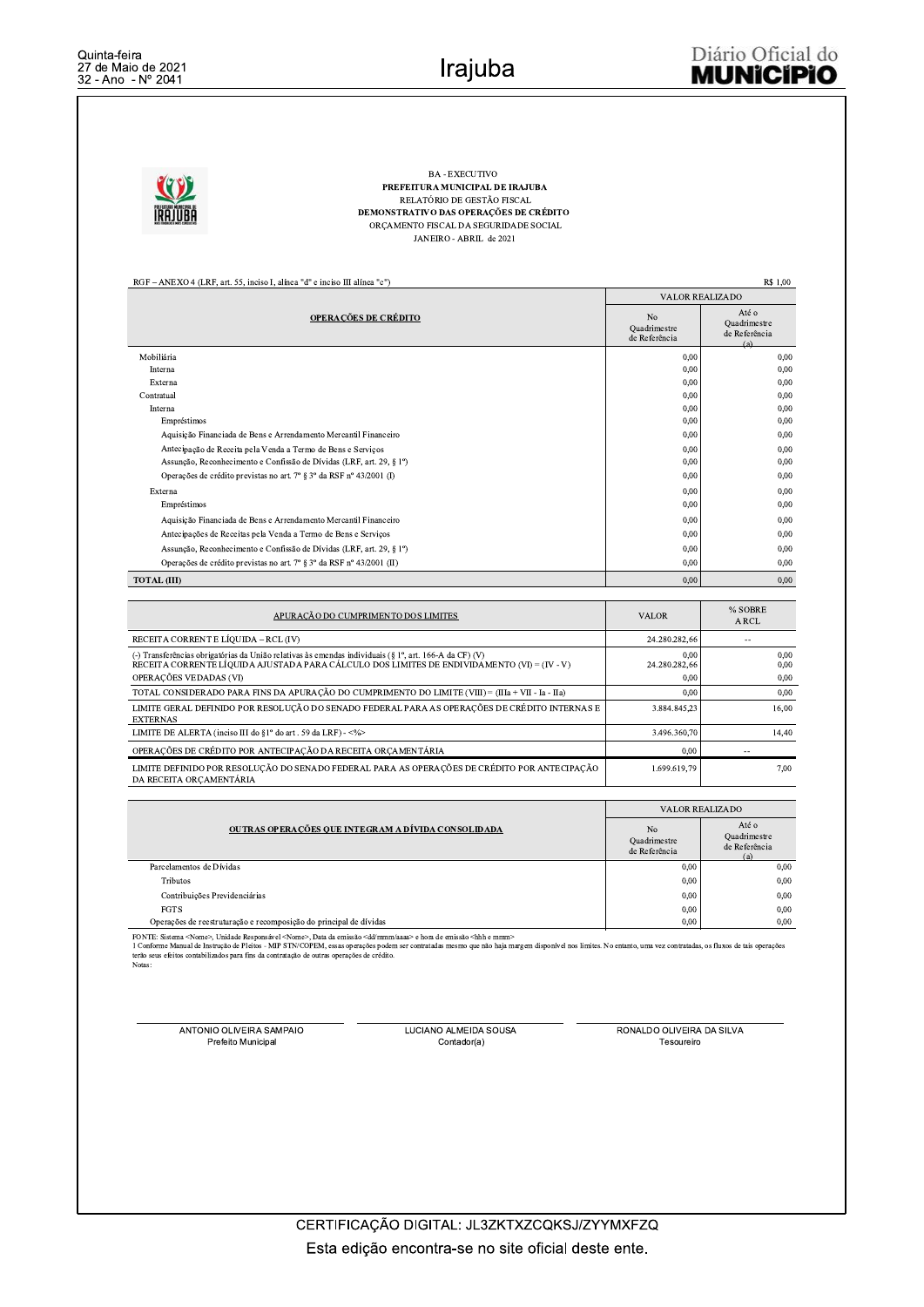**BA - EXECUTIVO** PREFEITURA MUNICIPAL DE IRAJUBA RELATÓRIO DE GESTÃO FISCAL DEMONSTRATIVO DAS OPERAÇÕES DE CRÉDITO ORÇAMENTO FISCAL DA SEGURIDADE SOCIAL JANEIRO - ABRIL de 2021

RGF - ANEXO 4 (LRF, art. 55, inciso I, alínea "d" e inciso III alínea "c")

R\$ 1,00

|                                                                       |                                                 | <b>VALOR REALIZADO</b>                        |
|-----------------------------------------------------------------------|-------------------------------------------------|-----------------------------------------------|
| <b>OPERAÇÕES DE CRÉDITO</b>                                           | N <sub>0</sub><br>Quadrimestre<br>de Referência | Até o<br>Quadrimestre<br>de Referência<br>(a) |
| Mobiliária                                                            | 0,00                                            | 0,00                                          |
| Interna                                                               | 0,00                                            | 0,00                                          |
| Externa                                                               | 0,00                                            | 0,00                                          |
| Contratual                                                            | 0,00                                            | 0.00                                          |
| Interna                                                               | 0,00                                            | 0.00                                          |
| Empréstimos                                                           | 0,00                                            | 0.00                                          |
| Aquisição Financiada de Bens e Arrendamento Mercantil Financeiro      | 0,00                                            | 0.00                                          |
| Antecipação de Receita pela Venda a Termo de Bens e Serviços          | 0,00                                            | 0.00                                          |
| Assunção, Reconhecimento e Confissão de Dívidas (LRF, art. 29, § 1°)  | 0,00                                            | 0,00                                          |
| Operações de crédito previstas no art. 7º § 3º da RSF nº 43/2001 (I)  | 0,00                                            | 0.00                                          |
| Externa                                                               | 0,00                                            | 0,00                                          |
| Empréstimos                                                           | 0,00                                            | 0,00                                          |
| Aquisição Financiada de Bens e Arrendamento Mercantil Financeiro      | 0,00                                            | 0.00                                          |
| Antecipações de Receitas pela Venda a Termo de Bens e Serviços        | 0,00                                            | 0,00                                          |
| Assunção, Reconhecimento e Confissão de Dívidas (LRF, art. 29, § 1°)  | 0.00                                            | 0.00                                          |
| Operações de crédito previstas no art. 7º § 3º da RSF nº 43/2001 (II) | 0,00                                            | 0,00                                          |
| <b>TOTAL (III)</b>                                                    | 0.00                                            | 0,00                                          |

| APURAÇÃO DO CUMPRIMENTO DOS LIMITES                                                                                                                                                                   | <b>VALOR</b>          | % SOBRE<br>A RCL |
|-------------------------------------------------------------------------------------------------------------------------------------------------------------------------------------------------------|-----------------------|------------------|
| RECEITA CORRENT E LÍOUIDA – RCL (IV)                                                                                                                                                                  | 24.280.282,66         |                  |
| (-) Transferências obrigatórias da União relativas às emendas individuais (§ 1°, art. 166-A da CF) (V)<br>RECEITA CORRENTE LÍQUIDA AJUSTADA PARA CÁLCULO DOS LIMITES DE ENDIVIDAMENTO (VI) = (IV - V) | 0.00<br>24.280.282,66 | 0.00<br>0.00     |
| OPERACÕES VEDADAS (VI)                                                                                                                                                                                | 0.00                  | 0.00             |
| TOTAL CONSIDERADO PARA FINS DA APURAÇÃO DO CUMPRIMENTO DO LIMITE (VIII) = (IIIa + VII - Ia - IIa)                                                                                                     | 0,00                  | 0,00             |
| LIMITE GERAL DEFINIDO POR RESOLUCÃO DO SENADO FEDERAL PARA AS OPERACÕES DE CRÉDITO INTERNAS E<br><b>EXTERNAS</b>                                                                                      | 3.884.845.23          | 16,00            |
| LIMITE DE ALERTA (inciso III do §1° do art. 59 da LRF) - <%>                                                                                                                                          | 3.496.360.70          | 14.40            |
| OPERAÇÕES DE CRÉDITO POR ANTECIPAÇÃO DA RECEITA ORCAMENTÁRIA                                                                                                                                          | 0.00                  |                  |
| LIMITE DEFINIDO POR RESOLUCÃO DO SENADO FEDERAL PARA AS OPERACÕES DE CRÉDITO POR ANTECIPACÃO<br>DA RECEITA ORCAMENTÁRIA                                                                               | 1.699.619.79          | 7.00             |

|                                                                    | <b>VALOR REALIZADO</b>                          |                                               |  |  |
|--------------------------------------------------------------------|-------------------------------------------------|-----------------------------------------------|--|--|
| OUTRAS OPERAÇÕES QUE INTEGRAM A DÍVIDA CONSOLIDADA                 | N <sub>0</sub><br>Ouadrimestre<br>de Referência | Até o<br>Ouadrimestre<br>de Referência<br>(a) |  |  |
| Parcelamentos de Dívidas                                           | 0.00                                            | 0,00                                          |  |  |
| <b>Tributos</b>                                                    | 0,00                                            | 0,00                                          |  |  |
| Contribuições Previdenciárias                                      | 0.00                                            | 0.00                                          |  |  |
| <b>FGTS</b>                                                        | 0,00                                            | 0.00                                          |  |  |
| Operações de reestruturação e recomposição do principal de dívidas | 0.00                                            | 0.00                                          |  |  |

FONTE: Sistema <Nome>, Unidade Responsável <Nome>, Data da emissão <dd/mmm/aaaa> e hora de emissão <hbh e mmm><br>1 Conforme Manual de Instrução de Pleitos - MIP STN/COPEM, essas operações podem ser contratadas mesmo que não **Notas** 

ANTONIO OLIVEIRA SAMPAIO Prefeito Municipal

LUCIANO ALMEIDA SOUSA Contador(a)

RONALDO OLIVEIRA DA SILVA Tesoureiro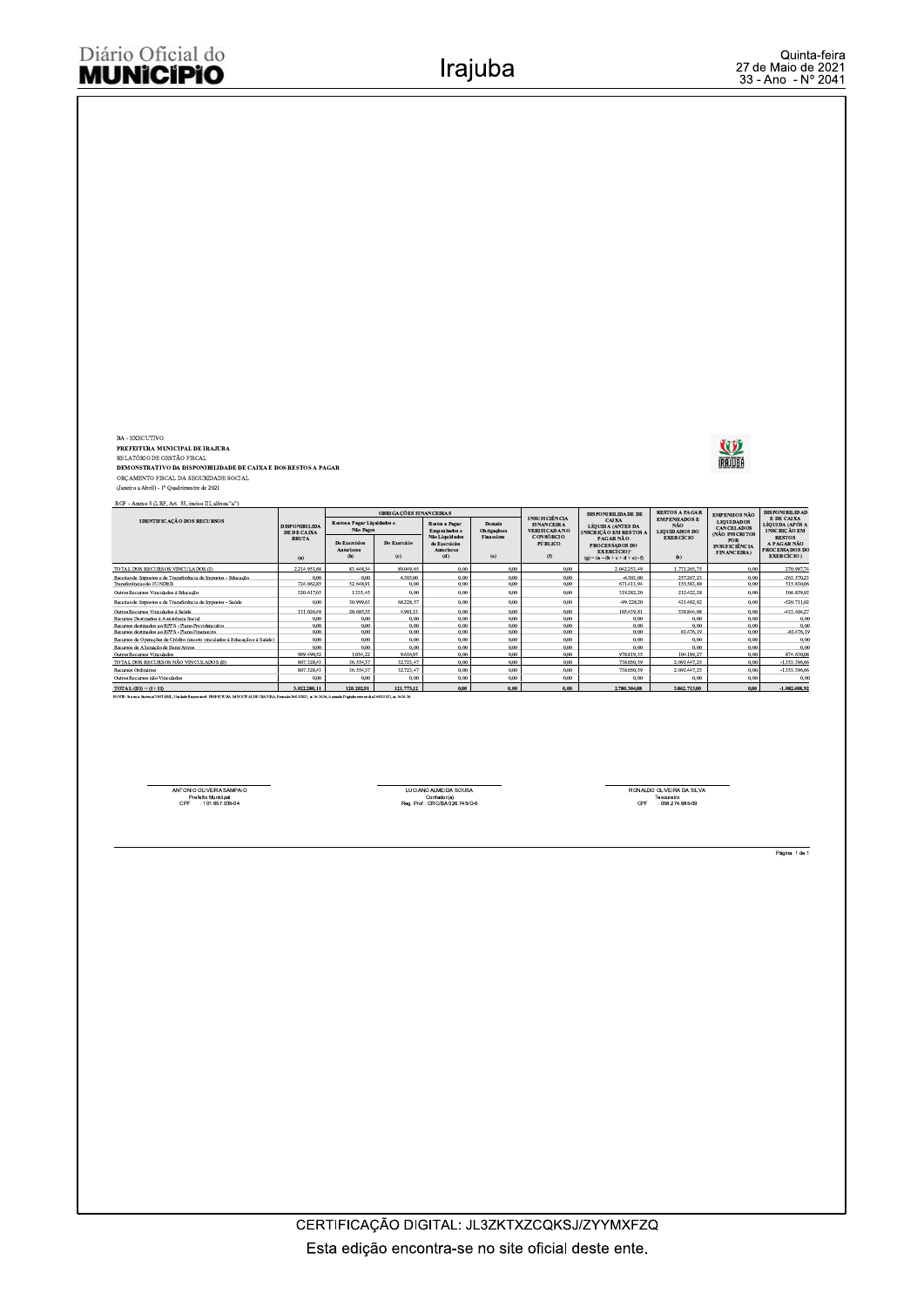BA - EXECUTIVO<br>PREFEITURA MUNICITAL DE IRAJUBA<br>RELATÓRIO DE GESTÃO ISCAL<br>DEMONSTRATIVO DA DISPONIBILIDADE DE CAIXA E DOS RESTOS A PAGAR<br>ORÇAMENTO FISCAL DA SEGURIDADE SOCIAL<br>(Janciro a Abri) - 1º Quadrimestre de 2021

RGF - Anexo 5 (LRF, Art. 55, inciso III, alinea "a")

|                                                                                                                                                                            |                                                                                                                          | OBRIGAÇÕES FINANCEIRAS                    |                              |                                                                                         |                                                                   |                                                    | <b>DISPONIBILIDADE DE</b>                                                                                | <b>RESTOS A PAGAR</b>                                | <b>EMPENHOS NÃO</b>                               | <b>DISPONIBILIDAD</b>                                                      |
|----------------------------------------------------------------------------------------------------------------------------------------------------------------------------|--------------------------------------------------------------------------------------------------------------------------|-------------------------------------------|------------------------------|-----------------------------------------------------------------------------------------|-------------------------------------------------------------------|----------------------------------------------------|----------------------------------------------------------------------------------------------------------|------------------------------------------------------|---------------------------------------------------|----------------------------------------------------------------------------|
| <b>IDENTIFICAÇÃO DOS RECURSOS</b>                                                                                                                                          | Restos a Pagar Liquidados e<br><b>Restos a Pagar</b><br><b>DISPONIBILIDA</b><br>Não Pagos<br>Empenhados e<br>DE DE CAIXA |                                           | <b>Demais</b><br>Obrigaçãoes | <b>INSUFICIÊNCIA</b><br><b>FINANCEIRA</b><br><b>VERIFICADA NO</b>                       | CAIXA<br><b>LÍOUIDA (ANTES DA</b><br><b>INSCRIÇÃO EM RESTOS A</b> | <b>EMPENHADOS E</b><br>NÃO<br><b>LIQUIDADOS DO</b> | <b>LIQUIDADOS</b><br><b>CANCELADOS</b><br>(NÃO INSCRITOS                                                 | E DE CAIXA<br>LÍOUIDA (APÓS A<br><b>INSCRICÃO EM</b> |                                                   |                                                                            |
|                                                                                                                                                                            | <b>BRUTA</b><br>(a)                                                                                                      | De Exercícios<br><b>Anteriores</b><br>(b) | Do Exercício<br>(c)          | Não Liquidados<br><b>Fianceiras</b><br>de Exercícios<br><b>Anteriores</b><br>(e)<br>(d) |                                                                   | <b>CONSÓRCIO</b><br><b>PÚBLICO</b><br>(0)          | PAGAR NÃO<br><b>PROCESSADOS DO</b><br><b>EXERCÍCIO</b> <sup>1</sup><br>$(a) = (a - (b + c + d + e) - f)$ | <b>EXERCÍCIO</b><br>(h)                              | POR<br><b>INSUFICIÊNCIA</b><br><b>FINANCEIRA)</b> | <b>RESTOS</b><br>A PAGAR NÃO<br><b>PROCESSADOS DO</b><br><b>EXERCÍCIO)</b> |
| TOTAL DOS RECURSOS VINCULADOS (I)                                                                                                                                          | 2.214.951.68                                                                                                             | 83,648,54                                 | 89.049.65                    | 0.00                                                                                    | 0.00.                                                             | 0.00                                               | 2.042.253,49                                                                                             | 1.771.265.75                                         | 0.00                                              | 270.987,74                                                                 |
| Receitas de Impostos e de Transferência de Impostos - Educação<br>Transferências do FUNDER                                                                                 | 0.00<br>724.062.85                                                                                                       | 0.00<br>52,648.91                         | 6,303,00<br>0.00             | 0.00<br>0.00                                                                            | 0.00<br>0.00                                                      | 0.00<br>0.00                                       | $-6.303.00$<br>671.413.94                                                                                | 257.267.23<br>155,583,88                             | 0.00<br>0.00                                      | $-263.570.2$<br>515.830,06                                                 |
| Outros Recursos Vinculados à Educação                                                                                                                                      | 320.617.65                                                                                                               | 1.335.45                                  | 0.00                         | 0.00                                                                                    | 0.00                                                              | 0.00                                               | 319.282.20                                                                                               | 212.422.28                                           | 0.00                                              | 106.859.92                                                                 |
| Receitas de Impostos e de Transferência de Impostos - Saúde                                                                                                                | 0.00                                                                                                                     | 30.999.63                                 | 68.228.57                    | 0.00                                                                                    | 0.00                                                              | 0.00                                               | $-99.228.20$                                                                                             | 421.482.82                                           | 0.00                                              | $-520.711.02$                                                              |
| Outros Recursos Vinculados à Saúde                                                                                                                                         | 131.026,49                                                                                                               | 20.685.55                                 | 4.901.13                     | 0.00                                                                                    | 0.00                                                              | 0.00                                               | 105.439,81                                                                                               | 538.844.08                                           | 0.00                                              | -433.404.27                                                                |
| Recursos Destinados à Assistência Social                                                                                                                                   | 0.00                                                                                                                     | 0.00                                      | 0.00                         | 0.00                                                                                    | 0.00                                                              | 0.00                                               | 0.00                                                                                                     | 0.00                                                 | 0.00                                              | 0.00                                                                       |
| Recursos destinados ao RPPS - Plano Previdenciário                                                                                                                         | 0.00                                                                                                                     | 0,00                                      | 0.00                         | 0.00                                                                                    | 0.00                                                              | 0.00                                               | 0.00.                                                                                                    | 0.00                                                 | 0.00                                              | 0.00                                                                       |
| Recursos destinados ao RPPS - Plano Financeiro.                                                                                                                            | 0.00.                                                                                                                    | 0.00.                                     | 0.00                         | 0.00                                                                                    | 0.00                                                              | 0.00.                                              | 0.00.                                                                                                    | 81.476.19                                            | 0.00                                              | $-81.476,19$                                                               |
| Recursos de Operações de Crédito (exceto vinculados à Educação e à Saúde)                                                                                                  | 0.00                                                                                                                     | 0,00.                                     | 0.00                         | 0.00                                                                                    | 0.00                                                              | 0.00                                               | 0.00.                                                                                                    | 0.00                                                 | 0.00                                              | 0.00                                                                       |
| Recursos de Alienação de Bens/Ativos                                                                                                                                       | 0.00                                                                                                                     | 0.00.                                     | 0.00                         | 0.00                                                                                    | 0.00                                                              | 0.00                                               | 0.00.                                                                                                    | 0.00                                                 | 0.00                                              | 0.00                                                                       |
| Outros Recursos Vinculados                                                                                                                                                 | 989.490.52                                                                                                               | 1.054.22                                  | 9.616.95                     | 0.00                                                                                    | 0.00                                                              | 0.00                                               | 978.819.35                                                                                               | 104.189.27                                           | 0.00                                              | 874.630.08                                                                 |
| TOTAL DOS RECURSOS NÃO VINCULADOS (II)                                                                                                                                     | 807 328 43                                                                                                               | 36 554 37                                 | 32.723.47                    | 0.00                                                                                    | 0.00                                                              | 0.00                                               | 738 050 59                                                                                               | 2.091.447.25                                         | 0.00                                              | $-1.353.396.66$                                                            |
| Recursos Ordinários                                                                                                                                                        | 807.328,43                                                                                                               | 36.554,37                                 | 32.723.47                    | 0,00                                                                                    | 0,00                                                              | 0.00                                               | 738.050.59                                                                                               | 2.091.447.25                                         | 0.00                                              | -1.353.396,66                                                              |
| Outros Recursos não Vinculados                                                                                                                                             | 0.00                                                                                                                     | 0.00                                      | 0.00                         | 0.00                                                                                    | 0.00                                                              | 0.00                                               | 0.00                                                                                                     | 0.00                                                 | 0.00                                              | 0.00                                                                       |
| $TOTAL$ (III) $-$ (I + II)                                                                                                                                                 | 3.022.280.11                                                                                                             | 120,202.91                                | 121,773.12                   | 0.00                                                                                    | 0.00                                                              | 0.00                                               | 2.780.304.08                                                                                             | 3,862,713,00                                         | 0.00                                              | $-1.082.408.92$                                                            |
| PONTE CALL CALL CONTINUES LIGHT BALLARY OF BETTER A LEGISLATION CONTINUES TO A CONTINUES AND ARRESTS TO A LARGE AND A COLLEGE CONTINUES. A LARGE 1997 OF A LARGE AND LARGE |                                                                                                                          |                                           |                              |                                                                                         |                                                                   |                                                    |                                                                                                          |                                                      |                                                   |                                                                            |

ANTONIO OLIVEIRA SAMPAIO<br>Prefeito Municipal<br>CPF : 101.657.035-04

LUCIANO ALMEIDA SOUSA<br>Contador(a)<br>Reg. Prof.: CRC/BA 026.745/O-6

RONALDO OLIVEIRA DA SILVA<br>Tesoureiro<br>CPF : 058.274.685-09

Página: 1 de 1